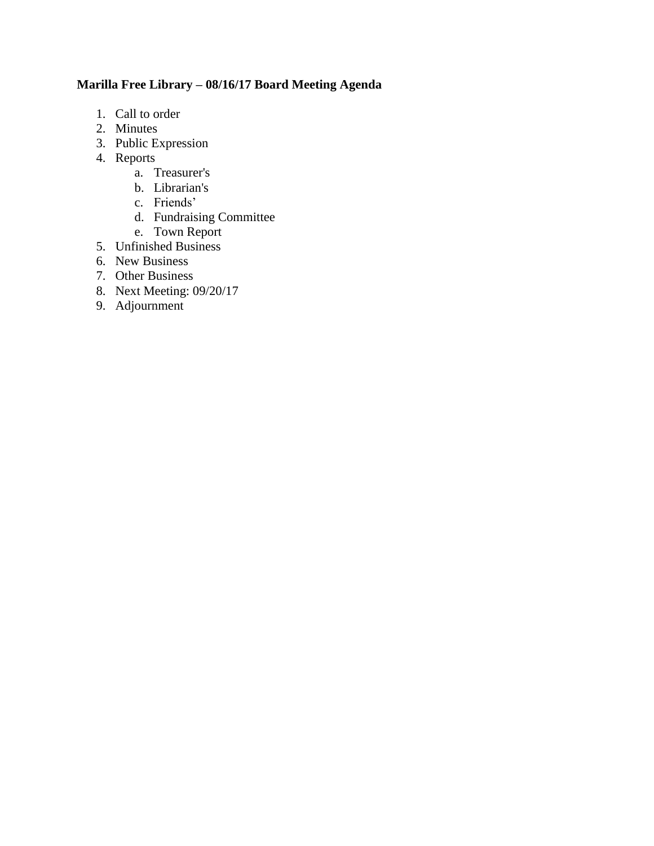## **Marilla Free Library – 08/16/17 Board Meeting Agenda**

- 1. Call to order
- 2. Minutes
- 3. Public Expression
- 4. Reports
	- a. Treasurer's
	- b. Librarian's
	- c. Friends'
	- d. Fundraising Committee
	- e. Town Report
- 5. Unfinished Business
- 6. New Business
- 7. Other Business
- 8. Next Meeting: 09/20/17
- 9. Adjournment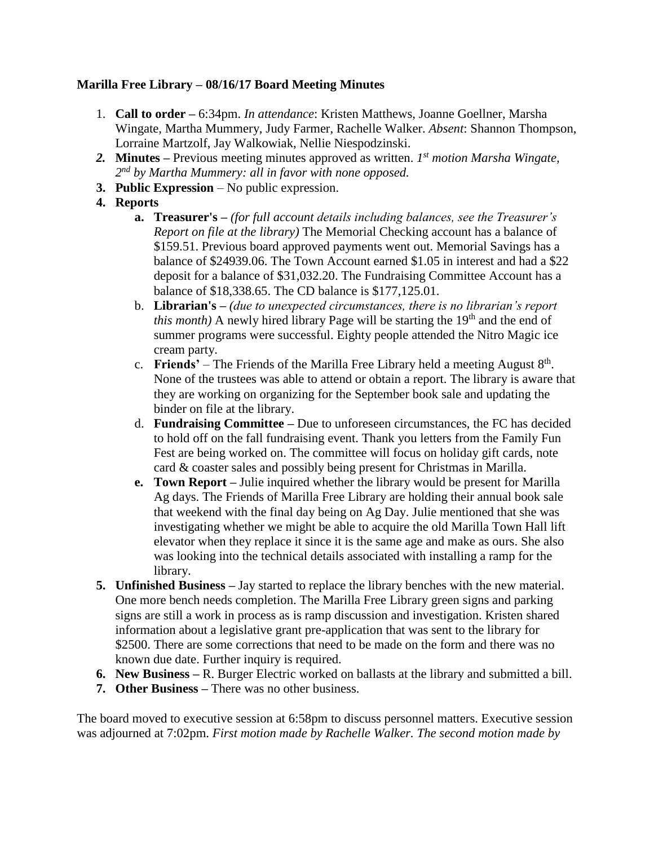## **Marilla Free Library – 08/16/17 Board Meeting Minutes**

- 1. **Call to order –** 6:34pm. *In attendance*: Kristen Matthews, Joanne Goellner, Marsha Wingate, Martha Mummery, Judy Farmer, Rachelle Walker. *Absent*: Shannon Thompson, Lorraine Martzolf, Jay Walkowiak, Nellie Niespodzinski.
- *2.* **Minutes –** Previous meeting minutes approved as written. *1 st motion Marsha Wingate, 2 nd by Martha Mummery: all in favor with none opposed.*
- **3. Public Expression** No public expression.
- **4. Reports**
	- **a. Treasurer's –** *(for full account details including balances, see the Treasurer's Report on file at the library)* The Memorial Checking account has a balance of \$159.51. Previous board approved payments went out. Memorial Savings has a balance of \$24939.06. The Town Account earned \$1.05 in interest and had a \$22 deposit for a balance of \$31,032.20. The Fundraising Committee Account has a balance of \$18,338.65. The CD balance is \$177,125.01.
	- b. **Librarian's –** *(due to unexpected circumstances, there is no librarian's report this month*) A newly hired library Page will be starting the 19<sup>th</sup> and the end of summer programs were successful. Eighty people attended the Nitro Magic ice cream party.
	- c. **Friends'** The Friends of the Marilla Free Library held a meeting August  $8<sup>th</sup>$ . None of the trustees was able to attend or obtain a report. The library is aware that they are working on organizing for the September book sale and updating the binder on file at the library.
	- d. **Fundraising Committee –** Due to unforeseen circumstances, the FC has decided to hold off on the fall fundraising event. Thank you letters from the Family Fun Fest are being worked on. The committee will focus on holiday gift cards, note card & coaster sales and possibly being present for Christmas in Marilla.
	- **e. Town Report –** Julie inquired whether the library would be present for Marilla Ag days. The Friends of Marilla Free Library are holding their annual book sale that weekend with the final day being on Ag Day. Julie mentioned that she was investigating whether we might be able to acquire the old Marilla Town Hall lift elevator when they replace it since it is the same age and make as ours. She also was looking into the technical details associated with installing a ramp for the library.
- **5. Unfinished Business –** Jay started to replace the library benches with the new material. One more bench needs completion. The Marilla Free Library green signs and parking signs are still a work in process as is ramp discussion and investigation. Kristen shared information about a legislative grant pre-application that was sent to the library for \$2500. There are some corrections that need to be made on the form and there was no known due date. Further inquiry is required.
- **6. New Business –** R. Burger Electric worked on ballasts at the library and submitted a bill.
- **7. Other Business –** There was no other business.

The board moved to executive session at 6:58pm to discuss personnel matters. Executive session was adjourned at 7:02pm. *First motion made by Rachelle Walker. The second motion made by*